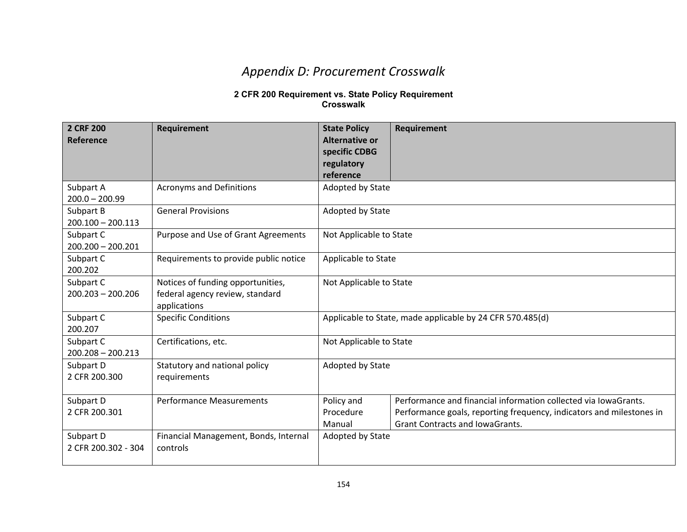## *Appendix D: Procurement Crosswalk*

## **2 CFR 200 Requirement vs. State Policy Requirement Crosswalk**

| 2 CRF 200<br>Reference           | <b>Requirement</b>                                                                   | <b>State Policy</b><br>Alternative or<br>specific CDBG<br>regulatory | Requirement                                                                                                                                                                       |
|----------------------------------|--------------------------------------------------------------------------------------|----------------------------------------------------------------------|-----------------------------------------------------------------------------------------------------------------------------------------------------------------------------------|
|                                  |                                                                                      | reference                                                            |                                                                                                                                                                                   |
| Subpart A<br>$200.0 - 200.99$    | <b>Acronyms and Definitions</b>                                                      | Adopted by State                                                     |                                                                                                                                                                                   |
| Subpart B<br>$200.100 - 200.113$ | <b>General Provisions</b>                                                            | Adopted by State                                                     |                                                                                                                                                                                   |
| Subpart C<br>$200.200 - 200.201$ | Purpose and Use of Grant Agreements                                                  | Not Applicable to State                                              |                                                                                                                                                                                   |
| Subpart C<br>200.202             | Requirements to provide public notice                                                | Applicable to State                                                  |                                                                                                                                                                                   |
| Subpart C<br>$200.203 - 200.206$ | Notices of funding opportunities,<br>federal agency review, standard<br>applications | Not Applicable to State                                              |                                                                                                                                                                                   |
| Subpart C<br>200.207             | <b>Specific Conditions</b>                                                           | Applicable to State, made applicable by 24 CFR 570.485(d)            |                                                                                                                                                                                   |
| Subpart C<br>$200.208 - 200.213$ | Certifications, etc.                                                                 | Not Applicable to State                                              |                                                                                                                                                                                   |
| Subpart D<br>2 CFR 200.300       | Statutory and national policy<br>requirements                                        | Adopted by State                                                     |                                                                                                                                                                                   |
| Subpart D<br>2 CFR 200.301       | <b>Performance Measurements</b>                                                      | Policy and<br>Procedure<br>Manual                                    | Performance and financial information collected via IowaGrants.<br>Performance goals, reporting frequency, indicators and milestones in<br><b>Grant Contracts and IowaGrants.</b> |
| Subpart D<br>2 CFR 200.302 - 304 | Financial Management, Bonds, Internal<br>controls                                    | Adopted by State                                                     |                                                                                                                                                                                   |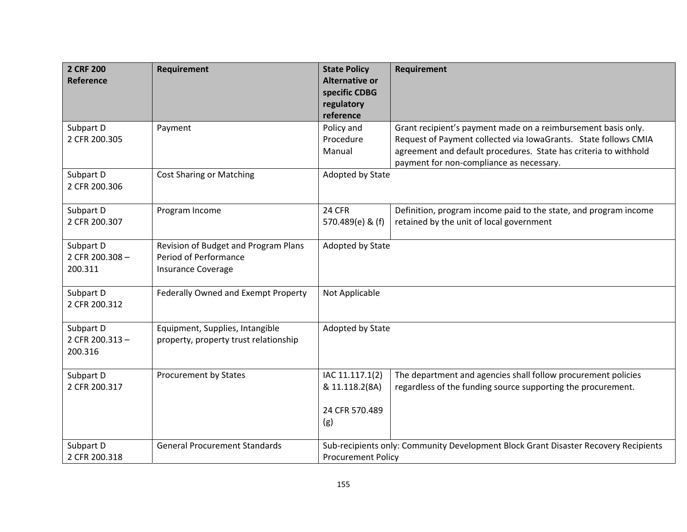| 2 CRF 200<br>Reference                  | Requirement                                                                                | <b>State Policy</b><br><b>Alternative or</b><br>specific CDBG<br>regulatory | Requirement                                                                                                                                                                                                                                      |
|-----------------------------------------|--------------------------------------------------------------------------------------------|-----------------------------------------------------------------------------|--------------------------------------------------------------------------------------------------------------------------------------------------------------------------------------------------------------------------------------------------|
|                                         |                                                                                            | reference                                                                   |                                                                                                                                                                                                                                                  |
| Subpart D<br>2 CFR 200.305              | Payment                                                                                    | Policy and<br>Procedure<br>Manual                                           | Grant recipient's payment made on a reimbursement basis only.<br>Request of Payment collected via IowaGrants. State follows CMIA<br>agreement and default procedures. State has criteria to withhold<br>payment for non-compliance as necessary. |
| Subpart D<br>2 CFR 200.306              | <b>Cost Sharing or Matching</b>                                                            | Adopted by State                                                            |                                                                                                                                                                                                                                                  |
| Subpart D<br>2 CFR 200.307              | Program Income                                                                             | 24 CFR<br>570.489(e) & (f)                                                  | Definition, program income paid to the state, and program income<br>retained by the unit of local government                                                                                                                                     |
| Subpart D<br>2 CFR 200.308 -<br>200.311 | Revision of Budget and Program Plans<br>Period of Performance<br><b>Insurance Coverage</b> | Adopted by State                                                            |                                                                                                                                                                                                                                                  |
| Subpart D<br>2 CFR 200.312              | Federally Owned and Exempt Property                                                        | Not Applicable                                                              |                                                                                                                                                                                                                                                  |
| Subpart D<br>2 CFR 200.313-<br>200.316  | Equipment, Supplies, Intangible<br>property, property trust relationship                   | Adopted by State                                                            |                                                                                                                                                                                                                                                  |
| Subpart D<br>2 CFR 200.317              | Procurement by States                                                                      | IAC 11.117.1(2)<br>& 11.118.2(8A)<br>24 CFR 570.489<br>(g)                  | The department and agencies shall follow procurement policies<br>regardless of the funding source supporting the procurement.                                                                                                                    |
| Subpart D<br>2 CFR 200.318              | <b>General Procurement Standards</b>                                                       | <b>Procurement Policy</b>                                                   | Sub-recipients only: Community Development Block Grant Disaster Recovery Recipients                                                                                                                                                              |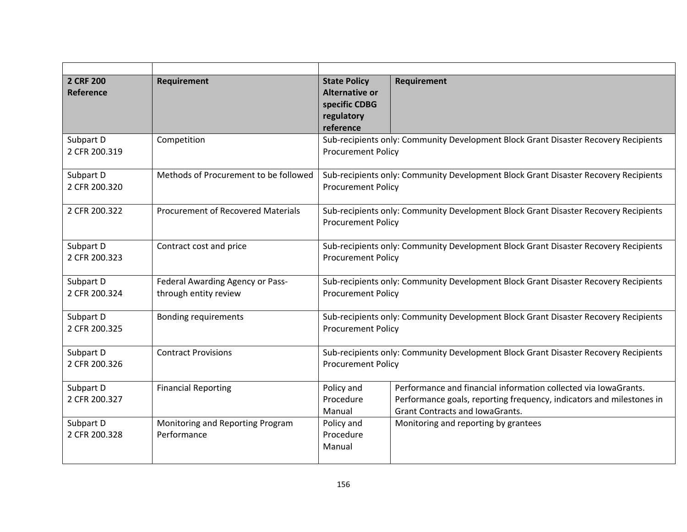| 2 CRF 200<br>Reference     | Requirement                                               | <b>State Policy</b><br><b>Alternative or</b><br>specific CDBG<br>regulatory<br>reference                         | Requirement                                                                                                                                                                       |
|----------------------------|-----------------------------------------------------------|------------------------------------------------------------------------------------------------------------------|-----------------------------------------------------------------------------------------------------------------------------------------------------------------------------------|
| Subpart D<br>2 CFR 200.319 | Competition                                               | <b>Procurement Policy</b>                                                                                        | Sub-recipients only: Community Development Block Grant Disaster Recovery Recipients                                                                                               |
| Subpart D<br>2 CFR 200.320 | Methods of Procurement to be followed                     | Sub-recipients only: Community Development Block Grant Disaster Recovery Recipients<br><b>Procurement Policy</b> |                                                                                                                                                                                   |
| 2 CFR 200.322              | <b>Procurement of Recovered Materials</b>                 | Sub-recipients only: Community Development Block Grant Disaster Recovery Recipients<br><b>Procurement Policy</b> |                                                                                                                                                                                   |
| Subpart D<br>2 CFR 200.323 | Contract cost and price                                   | Sub-recipients only: Community Development Block Grant Disaster Recovery Recipients<br><b>Procurement Policy</b> |                                                                                                                                                                                   |
| Subpart D<br>2 CFR 200.324 | Federal Awarding Agency or Pass-<br>through entity review | Sub-recipients only: Community Development Block Grant Disaster Recovery Recipients<br><b>Procurement Policy</b> |                                                                                                                                                                                   |
| Subpart D<br>2 CFR 200.325 | <b>Bonding requirements</b>                               | Sub-recipients only: Community Development Block Grant Disaster Recovery Recipients<br><b>Procurement Policy</b> |                                                                                                                                                                                   |
| Subpart D<br>2 CFR 200.326 | <b>Contract Provisions</b>                                | Sub-recipients only: Community Development Block Grant Disaster Recovery Recipients<br><b>Procurement Policy</b> |                                                                                                                                                                                   |
| Subpart D<br>2 CFR 200.327 | <b>Financial Reporting</b>                                | Policy and<br>Procedure<br>Manual                                                                                | Performance and financial information collected via lowaGrants.<br>Performance goals, reporting frequency, indicators and milestones in<br><b>Grant Contracts and IowaGrants.</b> |
| Subpart D<br>2 CFR 200.328 | Monitoring and Reporting Program<br>Performance           | Policy and<br>Procedure<br>Manual                                                                                | Monitoring and reporting by grantees                                                                                                                                              |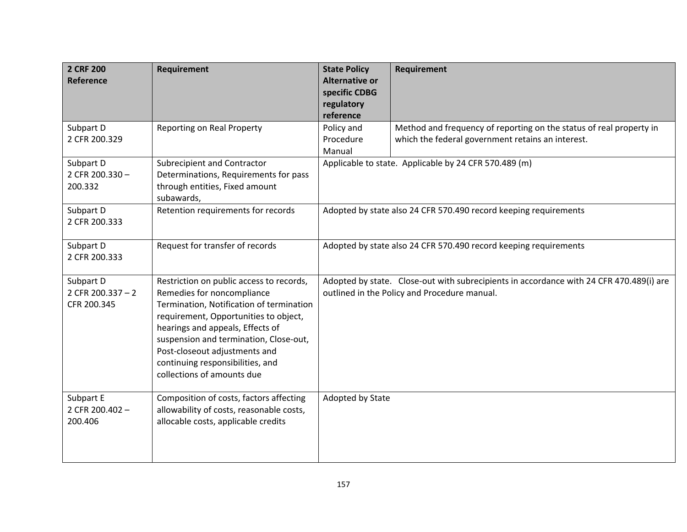| 2 CRF 200<br>Reference                         | Requirement                                                                                                                                                                                                                                                                                                                                  | <b>State Policy</b><br><b>Alternative or</b><br>specific CDBG<br>regulatory                                                             | Requirement                                                                                                              |
|------------------------------------------------|----------------------------------------------------------------------------------------------------------------------------------------------------------------------------------------------------------------------------------------------------------------------------------------------------------------------------------------------|-----------------------------------------------------------------------------------------------------------------------------------------|--------------------------------------------------------------------------------------------------------------------------|
|                                                |                                                                                                                                                                                                                                                                                                                                              | reference                                                                                                                               |                                                                                                                          |
| Subpart D<br>2 CFR 200.329                     | <b>Reporting on Real Property</b>                                                                                                                                                                                                                                                                                                            | Policy and<br>Procedure<br>Manual                                                                                                       | Method and frequency of reporting on the status of real property in<br>which the federal government retains an interest. |
| Subpart D<br>2 CFR 200.330 -<br>200.332        | Subrecipient and Contractor<br>Determinations, Requirements for pass<br>through entities, Fixed amount<br>subawards,                                                                                                                                                                                                                         |                                                                                                                                         | Applicable to state. Applicable by 24 CFR 570.489 (m)                                                                    |
| Subpart D<br>2 CFR 200.333                     | Retention requirements for records                                                                                                                                                                                                                                                                                                           | Adopted by state also 24 CFR 570.490 record keeping requirements                                                                        |                                                                                                                          |
| Subpart D<br>2 CFR 200.333                     | Request for transfer of records                                                                                                                                                                                                                                                                                                              | Adopted by state also 24 CFR 570.490 record keeping requirements                                                                        |                                                                                                                          |
| Subpart D<br>2 CFR 200.337 $-2$<br>CFR 200.345 | Restriction on public access to records,<br>Remedies for noncompliance<br>Termination, Notification of termination<br>requirement, Opportunities to object,<br>hearings and appeals, Effects of<br>suspension and termination, Close-out,<br>Post-closeout adjustments and<br>continuing responsibilities, and<br>collections of amounts due | Adopted by state. Close-out with subrecipients in accordance with 24 CFR 470.489(i) are<br>outlined in the Policy and Procedure manual. |                                                                                                                          |
| Subpart E<br>2 CFR 200.402 -<br>200.406        | Composition of costs, factors affecting<br>allowability of costs, reasonable costs,<br>allocable costs, applicable credits                                                                                                                                                                                                                   | Adopted by State                                                                                                                        |                                                                                                                          |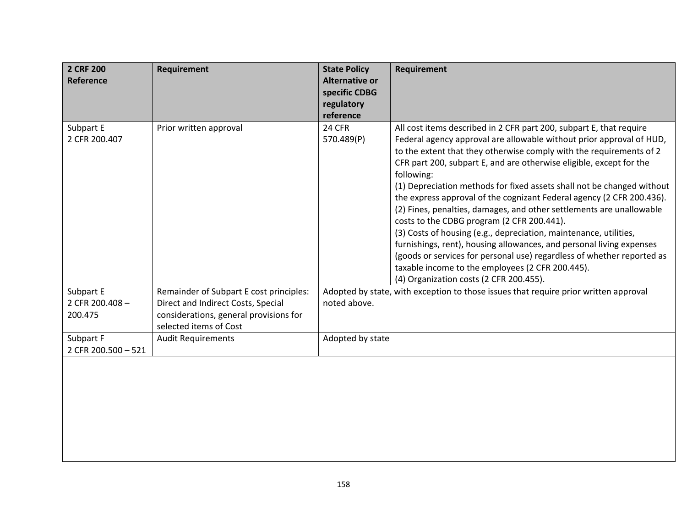| 2 CRF 200<br>Reference           | <b>Requirement</b>                                                                                     | <b>State Policy</b><br><b>Alternative or</b><br>specific CDBG<br>regulatory | Requirement                                                                                                                                                                                                                                                                                                                                                                                                                                                                                                                                                                                                                                                                                                                                                                                                                                                                                            |
|----------------------------------|--------------------------------------------------------------------------------------------------------|-----------------------------------------------------------------------------|--------------------------------------------------------------------------------------------------------------------------------------------------------------------------------------------------------------------------------------------------------------------------------------------------------------------------------------------------------------------------------------------------------------------------------------------------------------------------------------------------------------------------------------------------------------------------------------------------------------------------------------------------------------------------------------------------------------------------------------------------------------------------------------------------------------------------------------------------------------------------------------------------------|
|                                  |                                                                                                        | reference                                                                   |                                                                                                                                                                                                                                                                                                                                                                                                                                                                                                                                                                                                                                                                                                                                                                                                                                                                                                        |
| Subpart E<br>2 CFR 200.407       | Prior written approval                                                                                 | <b>24 CFR</b><br>570.489(P)                                                 | All cost items described in 2 CFR part 200, subpart E, that require<br>Federal agency approval are allowable without prior approval of HUD,<br>to the extent that they otherwise comply with the requirements of 2<br>CFR part 200, subpart E, and are otherwise eligible, except for the<br>following:<br>(1) Depreciation methods for fixed assets shall not be changed without<br>the express approval of the cognizant Federal agency (2 CFR 200.436).<br>(2) Fines, penalties, damages, and other settlements are unallowable<br>costs to the CDBG program (2 CFR 200.441).<br>(3) Costs of housing (e.g., depreciation, maintenance, utilities,<br>furnishings, rent), housing allowances, and personal living expenses<br>(goods or services for personal use) regardless of whether reported as<br>taxable income to the employees (2 CFR 200.445).<br>(4) Organization costs (2 CFR 200.455). |
| Subpart E                        | Remainder of Subpart E cost principles:                                                                |                                                                             | Adopted by state, with exception to those issues that require prior written approval                                                                                                                                                                                                                                                                                                                                                                                                                                                                                                                                                                                                                                                                                                                                                                                                                   |
| 2 CFR 200.408 -<br>200.475       | Direct and Indirect Costs, Special<br>considerations, general provisions for<br>selected items of Cost | noted above.                                                                |                                                                                                                                                                                                                                                                                                                                                                                                                                                                                                                                                                                                                                                                                                                                                                                                                                                                                                        |
| Subpart F<br>2 CFR 200.500 - 521 | <b>Audit Requirements</b>                                                                              | Adopted by state                                                            |                                                                                                                                                                                                                                                                                                                                                                                                                                                                                                                                                                                                                                                                                                                                                                                                                                                                                                        |
|                                  |                                                                                                        |                                                                             |                                                                                                                                                                                                                                                                                                                                                                                                                                                                                                                                                                                                                                                                                                                                                                                                                                                                                                        |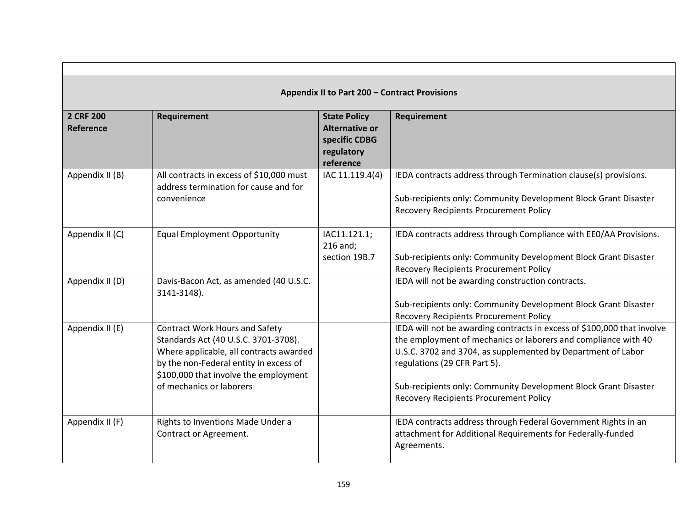| Appendix II to Part 200 - Contract Provisions |                                                                                                                                                                                                                                         |                                                                                          |                                                                                                                                                                                                                                                                                                                                                               |
|-----------------------------------------------|-----------------------------------------------------------------------------------------------------------------------------------------------------------------------------------------------------------------------------------------|------------------------------------------------------------------------------------------|---------------------------------------------------------------------------------------------------------------------------------------------------------------------------------------------------------------------------------------------------------------------------------------------------------------------------------------------------------------|
| 2 CRF 200<br>Reference                        | Requirement                                                                                                                                                                                                                             | <b>State Policy</b><br><b>Alternative or</b><br>specific CDBG<br>regulatory<br>reference | Requirement                                                                                                                                                                                                                                                                                                                                                   |
| Appendix II (B)                               | All contracts in excess of \$10,000 must<br>address termination for cause and for<br>convenience                                                                                                                                        | IAC 11.119.4(4)                                                                          | IEDA contracts address through Termination clause(s) provisions.<br>Sub-recipients only: Community Development Block Grant Disaster<br>Recovery Recipients Procurement Policy                                                                                                                                                                                 |
| Appendix II (C)                               | <b>Equal Employment Opportunity</b>                                                                                                                                                                                                     | IAC11.121.1;<br>216 and;<br>section 19B.7                                                | IEDA contracts address through Compliance with EEO/AA Provisions.<br>Sub-recipients only: Community Development Block Grant Disaster<br><b>Recovery Recipients Procurement Policy</b>                                                                                                                                                                         |
| Appendix II (D)                               | Davis-Bacon Act, as amended (40 U.S.C.<br>3141-3148).                                                                                                                                                                                   |                                                                                          | IEDA will not be awarding construction contracts.<br>Sub-recipients only: Community Development Block Grant Disaster<br><b>Recovery Recipients Procurement Policy</b>                                                                                                                                                                                         |
| Appendix II (E)                               | <b>Contract Work Hours and Safety</b><br>Standards Act (40 U.S.C. 3701-3708).<br>Where applicable, all contracts awarded<br>by the non-Federal entity in excess of<br>\$100,000 that involve the employment<br>of mechanics or laborers |                                                                                          | IEDA will not be awarding contracts in excess of \$100,000 that involve<br>the employment of mechanics or laborers and compliance with 40<br>U.S.C. 3702 and 3704, as supplemented by Department of Labor<br>regulations (29 CFR Part 5).<br>Sub-recipients only: Community Development Block Grant Disaster<br><b>Recovery Recipients Procurement Policy</b> |
| Appendix II (F)                               | Rights to Inventions Made Under a<br>Contract or Agreement.                                                                                                                                                                             |                                                                                          | IEDA contracts address through Federal Government Rights in an<br>attachment for Additional Requirements for Federally-funded<br>Agreements.                                                                                                                                                                                                                  |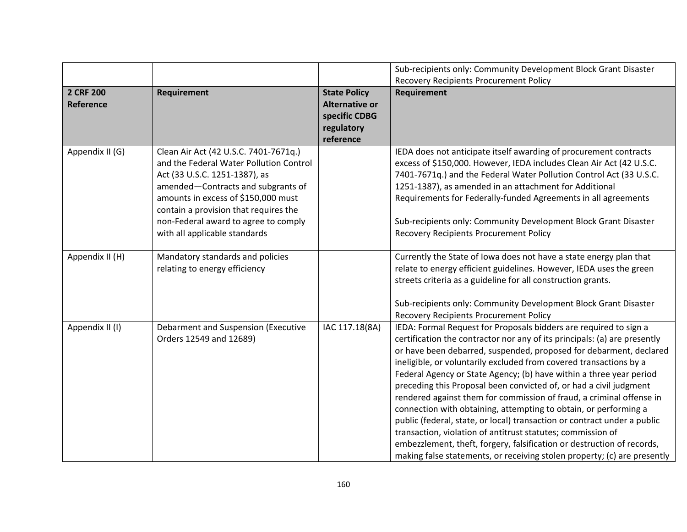|                 |                                         |                       | Sub-recipients only: Community Development Block Grant Disaster           |
|-----------------|-----------------------------------------|-----------------------|---------------------------------------------------------------------------|
|                 |                                         |                       | <b>Recovery Recipients Procurement Policy</b>                             |
| 2 CRF 200       | Requirement                             | <b>State Policy</b>   | Requirement                                                               |
| Reference       |                                         | <b>Alternative or</b> |                                                                           |
|                 |                                         | specific CDBG         |                                                                           |
|                 |                                         | regulatory            |                                                                           |
|                 |                                         | reference             |                                                                           |
| Appendix II (G) | Clean Air Act (42 U.S.C. 7401-7671q.)   |                       | IEDA does not anticipate itself awarding of procurement contracts         |
|                 | and the Federal Water Pollution Control |                       | excess of \$150,000. However, IEDA includes Clean Air Act (42 U.S.C.      |
|                 | Act (33 U.S.C. 1251-1387), as           |                       | 7401-7671q.) and the Federal Water Pollution Control Act (33 U.S.C.       |
|                 | amended-Contracts and subgrants of      |                       | 1251-1387), as amended in an attachment for Additional                    |
|                 | amounts in excess of \$150,000 must     |                       | Requirements for Federally-funded Agreements in all agreements            |
|                 | contain a provision that requires the   |                       |                                                                           |
|                 | non-Federal award to agree to comply    |                       | Sub-recipients only: Community Development Block Grant Disaster           |
|                 | with all applicable standards           |                       | Recovery Recipients Procurement Policy                                    |
|                 |                                         |                       |                                                                           |
| Appendix II (H) | Mandatory standards and policies        |                       | Currently the State of Iowa does not have a state energy plan that        |
|                 | relating to energy efficiency           |                       | relate to energy efficient guidelines. However, IEDA uses the green       |
|                 |                                         |                       | streets criteria as a guideline for all construction grants.              |
|                 |                                         |                       |                                                                           |
|                 |                                         |                       | Sub-recipients only: Community Development Block Grant Disaster           |
|                 |                                         |                       | <b>Recovery Recipients Procurement Policy</b>                             |
| Appendix II (I) | Debarment and Suspension (Executive     | IAC 117.18(8A)        | IEDA: Formal Request for Proposals bidders are required to sign a         |
|                 | Orders 12549 and 12689)                 |                       | certification the contractor nor any of its principals: (a) are presently |
|                 |                                         |                       | or have been debarred, suspended, proposed for debarment, declared        |
|                 |                                         |                       | ineligible, or voluntarily excluded from covered transactions by a        |
|                 |                                         |                       | Federal Agency or State Agency; (b) have within a three year period       |
|                 |                                         |                       | preceding this Proposal been convicted of, or had a civil judgment        |
|                 |                                         |                       | rendered against them for commission of fraud, a criminal offense in      |
|                 |                                         |                       | connection with obtaining, attempting to obtain, or performing a          |
|                 |                                         |                       | public (federal, state, or local) transaction or contract under a public  |
|                 |                                         |                       | transaction, violation of antitrust statutes; commission of               |
|                 |                                         |                       | embezzlement, theft, forgery, falsification or destruction of records,    |
|                 |                                         |                       | making false statements, or receiving stolen property; (c) are presently  |